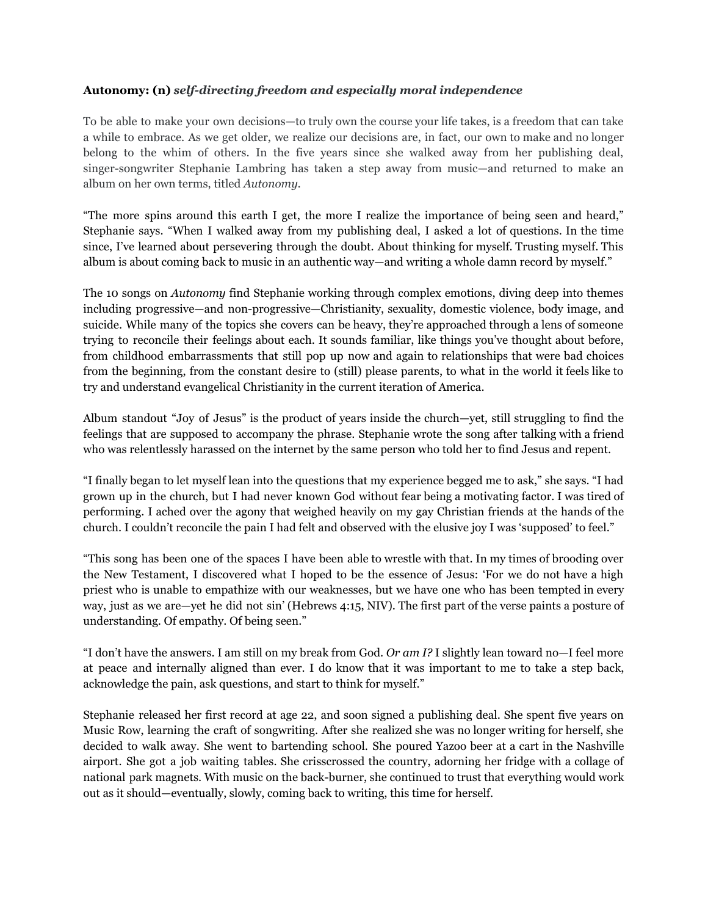## **Autonomy: (n)** *self-directing freedom and especially moral independence*

To be able to make your own decisions—to truly own the course your life takes, is a freedom that can take a while to embrace. As we get older, we realize our decisions are, in fact, our own to make and no longer belong to the whim of others. In the five years since she walked away from her publishing deal, singer-songwriter Stephanie Lambring has taken a step away from music—and returned to make an album on her own terms, titled *Autonomy.*

"The more spins around this earth I get, the more I realize the importance of being seen and heard," Stephanie says. "When I walked away from my publishing deal, I asked a lot of questions. In the time since, I've learned about persevering through the doubt. About thinking for myself. Trusting myself. This album is about coming back to music in an authentic way—and writing a whole damn record by myself."

The 10 songs on *Autonomy* find Stephanie working through complex emotions, diving deep into themes including progressive—and non-progressive—Christianity, sexuality, domestic violence, body image, and suicide. While many of the topics she covers can be heavy, they're approached through a lens of someone trying to reconcile their feelings about each. It sounds familiar, like things you've thought about before, from childhood embarrassments that still pop up now and again to relationships that were bad choices from the beginning, from the constant desire to (still) please parents, to what in the world it feels like to try and understand evangelical Christianity in the current iteration of America.

Album standout "Joy of Jesus" is the product of years inside the church—yet, still struggling to find the feelings that are supposed to accompany the phrase. Stephanie wrote the song after talking with a friend who was relentlessly harassed on the internet by the same person who told her to find Jesus and repent.

"I finally began to let myself lean into the questions that my experience begged me to ask," she says. "I had grown up in the church, but I had never known God without fear being a motivating factor. I was tired of performing. I ached over the agony that weighed heavily on my gay Christian friends at the hands of the church. I couldn't reconcile the pain I had felt and observed with the elusive joy I was 'supposed' to feel."

"This song has been one of the spaces I have been able to wrestle with that. In my times of brooding over the New Testament, I discovered what I hoped to be the essence of Jesus: 'For we do not have a high priest who is unable to empathize with our weaknesses, but we have one who has been tempted in every way, just as we are—yet he did not sin' (Hebrews 4:15, NIV). The first part of the verse paints a posture of understanding. Of empathy. Of being seen."

"I don't have the answers. I am still on my break from God. *Or am I?* I slightly lean toward no—I feel more at peace and internally aligned than ever. I do know that it was important to me to take a step back, acknowledge the pain, ask questions, and start to think for myself."

Stephanie released her first record at age 22, and soon signed a publishing deal. She spent five years on Music Row, learning the craft of songwriting. After she realized she was no longer writing for herself, she decided to walk away. She went to bartending school. She poured Yazoo beer at a cart in the Nashville airport. She got a job waiting tables. She crisscrossed the country, adorning her fridge with a collage of national park magnets. With music on the back-burner, she continued to trust that everything would work out as it should—eventually, slowly, coming back to writing, this time for herself.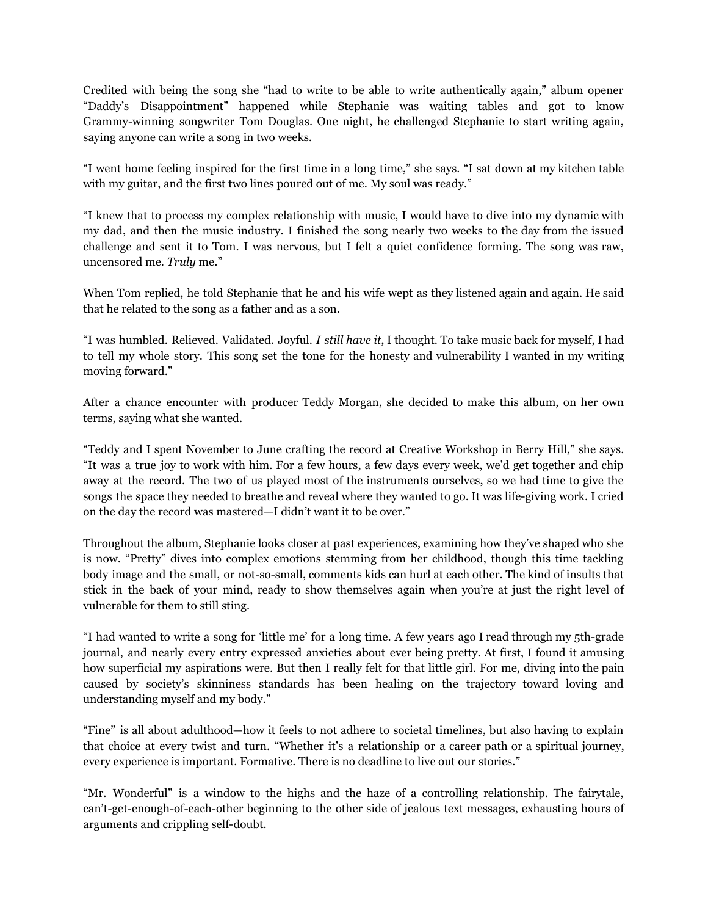Credited with being the song she "had to write to be able to write authentically again," album opener "Daddy's Disappointment" happened while Stephanie was waiting tables and got to know Grammy-winning songwriter Tom Douglas. One night, he challenged Stephanie to start writing again, saying anyone can write a song in two weeks.

"I went home feeling inspired for the first time in a long time," she says. "I sat down at my kitchen table with my guitar, and the first two lines poured out of me. My soul was ready."

"I knew that to process my complex relationship with music, I would have to dive into my dynamic with my dad, and then the music industry. I finished the song nearly two weeks to the day from the issued challenge and sent it to Tom. I was nervous, but I felt a quiet confidence forming. The song was raw, uncensored me. *Truly* me."

When Tom replied, he told Stephanie that he and his wife wept as they listened again and again. He said that he related to the song as a father and as a son.

"I was humbled. Relieved. Validated. Joyful. *I still have it*, I thought. To take music back for myself, I had to tell my whole story. This song set the tone for the honesty and vulnerability I wanted in my writing moving forward."

After a chance encounter with producer Teddy Morgan, she decided to make this album, on her own terms, saying what she wanted.

"Teddy and I spent November to June crafting the record at Creative Workshop in Berry Hill," she says. "It was a true joy to work with him. For a few hours, a few days every week, we'd get together and chip away at the record. The two of us played most of the instruments ourselves, so we had time to give the songs the space they needed to breathe and reveal where they wanted to go. It was life-giving work. I cried on the day the record was mastered—I didn't want it to be over."

Throughout the album, Stephanie looks closer at past experiences, examining how they've shaped who she is now. "Pretty" dives into complex emotions stemming from her childhood, though this time tackling body image and the small, or not-so-small, comments kids can hurl at each other. The kind of insults that stick in the back of your mind, ready to show themselves again when you're at just the right level of vulnerable for them to still sting.

"I had wanted to write a song for 'little me' for a long time. A few years ago I read through my 5th-grade journal, and nearly every entry expressed anxieties about ever being pretty. At first, I found it amusing how superficial my aspirations were. But then I really felt for that little girl. For me, diving into the pain caused by society's skinniness standards has been healing on the trajectory toward loving and understanding myself and my body."

"Fine" is all about adulthood—how it feels to not adhere to societal timelines, but also having to explain that choice at every twist and turn. "Whether it's a relationship or a career path or a spiritual journey, every experience is important. Formative. There is no deadline to live out our stories."

"Mr. Wonderful" is a window to the highs and the haze of a controlling relationship. The fairytale, can't-get-enough-of-each-other beginning to the other side of jealous text messages, exhausting hours of arguments and crippling self-doubt.